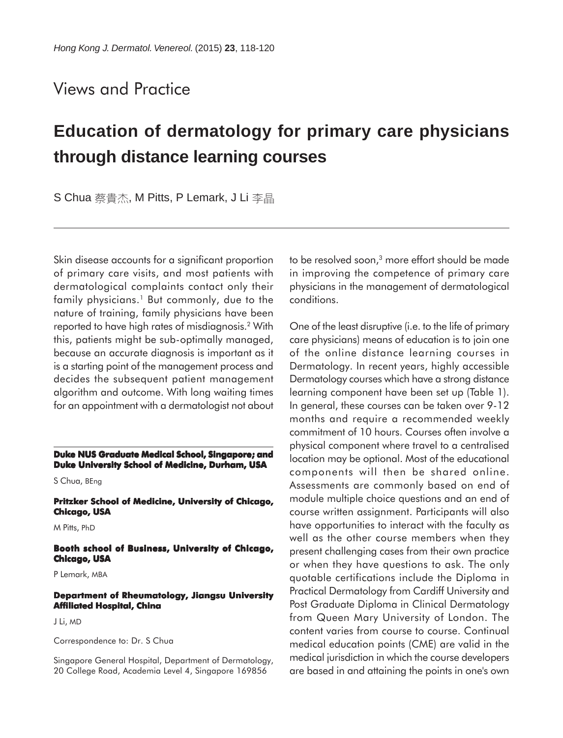## Views and Practice

# **Education of dermatology for primary care physicians through distance learning courses**

S Chua 蔡貴杰, M Pitts, P Lemark, J Li 李晶

Skin disease accounts for a significant proportion of primary care visits, and most patients with dermatological complaints contact only their family physicians.<sup>1</sup> But commonly, due to the nature of training, family physicians have been reported to have high rates of misdiagnosis.2 With this, patients might be sub-optimally managed, because an accurate diagnosis is important as it is a starting point of the management process and decides the subsequent patient management algorithm and outcome. With long waiting times for an appointment with a dermatologist not about

#### **Duke NUS Graduate Medical School, Singapore; and Duke University School of Medicine, Durham, USA**

S Chua, BEng

**Pritzker School of Medicine, University of Chicago, Chicago, USA**

M Pitts, PhD

**Booth school of Business, University of Chicago, Chicago, USA**

P Lemark, MBA

#### **Department of Rheumatology, Jiangsu University Affiliated Hospital, China**

J Li, MD

Correspondence to: Dr. S Chua

Singapore General Hospital, Department of Dermatology, 20 College Road, Academia Level 4, Singapore 169856

to be resolved soon,<sup>3</sup> more effort should be made in improving the competence of primary care physicians in the management of dermatological conditions.

One of the least disruptive (i.e. to the life of primary care physicians) means of education is to join one of the online distance learning courses in Dermatology. In recent years, highly accessible Dermatology courses which have a strong distance learning component have been set up (Table 1). In general, these courses can be taken over 9-12 months and require a recommended weekly commitment of 10 hours. Courses often involve a physical component where travel to a centralised location may be optional. Most of the educational components will then be shared online. Assessments are commonly based on end of module multiple choice questions and an end of course written assignment. Participants will also have opportunities to interact with the faculty as well as the other course members when they present challenging cases from their own practice or when they have questions to ask. The only quotable certifications include the Diploma in Practical Dermatology from Cardiff University and Post Graduate Diploma in Clinical Dermatology from Queen Mary University of London. The content varies from course to course. Continual medical education points (CME) are valid in the medical jurisdiction in which the course developers are based in and attaining the points in one's own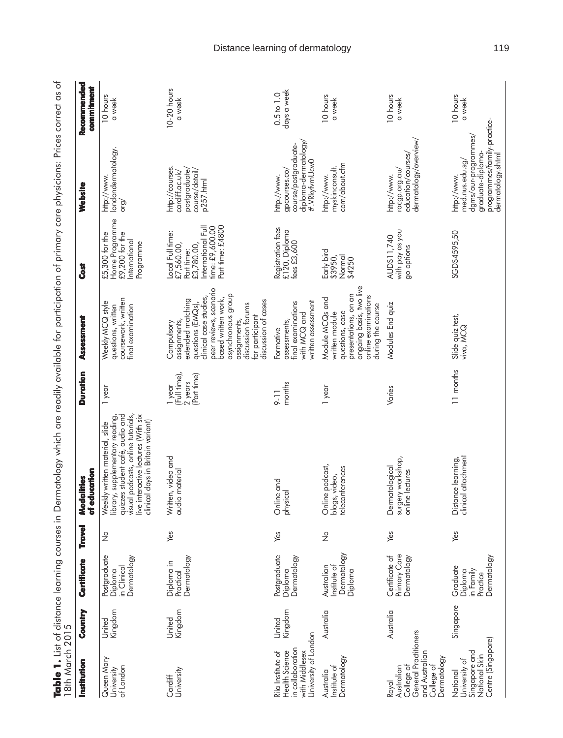| 18th March 2015                                                                                           |                   |                                                             |               |                                                                                                                                                                                                                        |                                                   |                                                                                                                                                                                                                                                      |                                                                                                                         |                                                                                                                                 |                               |
|-----------------------------------------------------------------------------------------------------------|-------------------|-------------------------------------------------------------|---------------|------------------------------------------------------------------------------------------------------------------------------------------------------------------------------------------------------------------------|---------------------------------------------------|------------------------------------------------------------------------------------------------------------------------------------------------------------------------------------------------------------------------------------------------------|-------------------------------------------------------------------------------------------------------------------------|---------------------------------------------------------------------------------------------------------------------------------|-------------------------------|
| Institution                                                                                               | Country           | Certificate                                                 | <b>Travel</b> | of education<br>Modalities                                                                                                                                                                                             | Duration                                          | Assessment                                                                                                                                                                                                                                           | <b>Gost</b>                                                                                                             | Website                                                                                                                         | Recommended<br>commitment     |
| Queen Mary<br>of London<br>University                                                                     | Kingdom<br>United | Postgraduate<br>Dermatology<br>in Clinical<br>Diploma       | $\frac{1}{2}$ | visual podcasts, online tutorials,<br>quizzes student café, audio and<br>live interactive lectures (With six<br>Weekly written material, slide<br>library, supplementary reading,<br>clinical days in Britain variant) | 1 year                                            | coursework, written<br>Weekly MCQ style<br>final examination<br>questions, written                                                                                                                                                                   | Home Programme<br>£5,300 for the<br>£9,200 for the<br>International<br>Programme                                        | londondermatology.<br>http://www.<br>org/                                                                                       | 10 hours<br>a week            |
| Cardiff<br>University                                                                                     | Kingdom<br>United | Dermatology<br>Diploma in<br>Practical                      | Yes           | Written, video and<br>audio material                                                                                                                                                                                   | Full time),<br>(Part time)<br>$2$ years<br>I vear | peer reviews, scenario<br>asynchronous group<br>clinical case studies,<br>based written work,<br>discussion of cases<br>extended matching<br>questions (EMQs),<br>discussion forums<br>for participant<br>assignments,<br>assignments,<br>Compulsory | Part time: £4800<br>International Full<br>time: £9,600.00<br>Local Full time:<br>£7,560.00,<br>£3,780.00,<br>Part time: | http://courses.<br>postgraduate <sub>/</sub><br>course/detail/<br>cardiff.ac.uk/<br>p257.html                                   | 10-20 hours<br>a week         |
| University of London<br>n collaboration<br>with Middlesex<br>Rila Institute of<br>Health Science          | Kingdom<br>United | Postgraduate<br>Dermatology<br>Diploma                      | Yes           | Online and<br>physical                                                                                                                                                                                                 | months<br>$9 - 11$                                | written assessment<br>final examinations<br>with MCQ and<br>assessments,<br>Formative                                                                                                                                                                | Registration fees<br>£120, Diploma<br>fees £3,600                                                                       | diploma-dermatology/<br>course/postgraduate-<br>#.VRkyfymUcw0<br>gpcourses.co/<br>http://www.                                   | days a week<br>$0.5$ to $1.0$ |
| Dermatology<br>Institute of<br>Australia                                                                  | Australia         | Dermatology<br>Institute of<br>Australian<br>Diploma        | $\frac{1}{2}$ | Online podcast,<br>teleconferences<br>blogs, video,                                                                                                                                                                    | 1 year                                            | ongoing basis, two live<br>presentations, on an<br>online examinations<br>Module MCQs and<br>during the course<br>questions, case<br>written module                                                                                                  | Early bird<br>\$3950,<br>Normal<br>\$4250                                                                               | com/about.cfm<br>myskinconsult.<br>http://www.                                                                                  | 10 hours<br>a week            |
| General Practitioners<br>and Australian<br>Dermatology<br>College of<br>College of<br>Australian<br>Royal | Australia         | Primary Care<br>Dermatology<br>Certificate of               | Yes           | surgery workshop,<br>Dermatological<br>online lectures                                                                                                                                                                 | Varies                                            | Modules End quiz                                                                                                                                                                                                                                     | with pay as you<br>AUD\$11,740<br>go options                                                                            | dermatology/overview/<br>education/courses/<br>racgp.org.au/<br>http://www.                                                     | 10 hours<br>a week            |
| Centre (Singapore)<br>Singapore and<br>National Skin<br>University of<br>National                         | Singapore         | Practice<br>Dermatology<br>Graduate<br>Diploma<br>in Family | Yes           | clinical attachment<br>Distance learning,                                                                                                                                                                              | 11 months                                         | Slide quiz test,<br>viva, MCQ                                                                                                                                                                                                                        | SGD\$4595,50                                                                                                            | programmes/family-practice-<br>dgms/our-programmes/<br>graduate-diploma-<br>dermatology.shtml<br>med.nus.edu.sg/<br>http://www. | 10 hours<br>a week            |

Table 1. List of distance learning courses in Dermatology which are readily available for participation of primary care physicians: Prices correct as of<br>1944 March 2012 **Table 1. able**  List of distance learning courses in Dermatology which are readily available for participation of primary care physicians: Prices correct as of